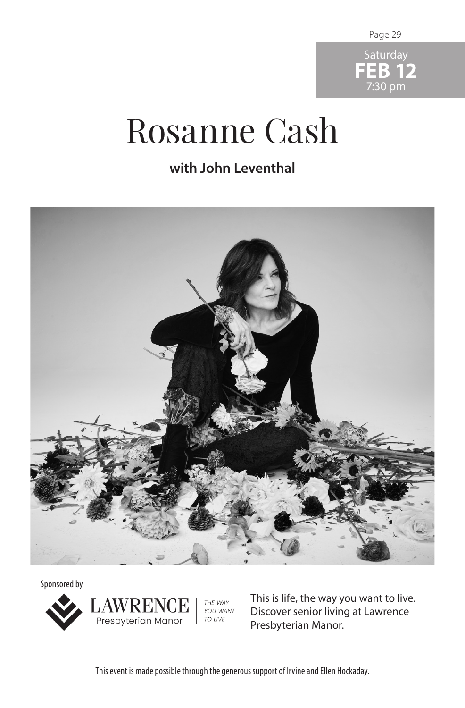Page 29



## Rosanne Cash

## **with John Leventhal**



Sponsored by



**AWRENCE**<br>Presbyterian Manor THE WAY YOU WANT TO LIVE

This is life, the way you want to live. Discover senior living at Lawrence Presbyterian Manor.